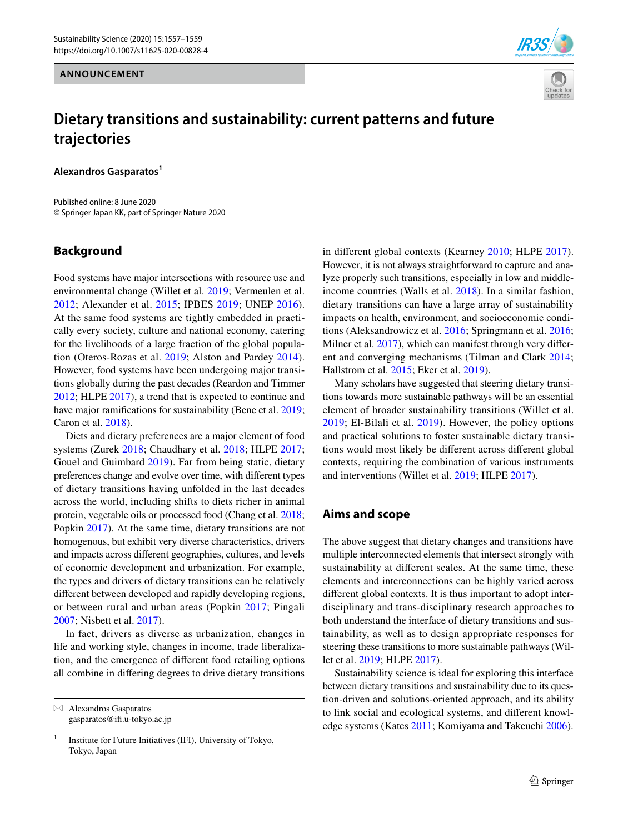**ANNOUNCEMENT**





# **Dietary transitions and sustainability: current patterns and future trajectories**

**Alexandros Gasparatos1**

Published online: 8 June 2020 © Springer Japan KK, part of Springer Nature 2020

#### **Background**

Food systems have major intersections with resource use and environmental change (Willet et al. [2019;](#page-2-0) Vermeulen et al. [2012;](#page-2-1) Alexander et al. [2015](#page-1-0); IPBES [2019](#page-1-1); UNEP [2016](#page-2-2)). At the same food systems are tightly embedded in practically every society, culture and national economy, catering for the livelihoods of a large fraction of the global population (Oteros-Rozas et al. [2019;](#page-2-3) Alston and Pardey [2014](#page-1-2)). However, food systems have been undergoing major transitions globally during the past decades (Reardon and Timmer [2012](#page-2-4); HLPE [2017](#page-1-3)), a trend that is expected to continue and have major ramifications for sustainability (Bene et al. [2019](#page-1-4); Caron et al. [2018](#page-1-5)).

Diets and dietary preferences are a major element of food systems (Zurek [2018](#page-2-5); Chaudhary et al. [2018](#page-1-6); HLPE [2017](#page-1-3); Gouel and Guimbard [2019\)](#page-1-7). Far from being static, dietary preferences change and evolve over time, with diferent types of dietary transitions having unfolded in the last decades across the world, including shifts to diets richer in animal protein, vegetable oils or processed food (Chang et al. [2018](#page-1-8); Popkin [2017](#page-2-6)). At the same time, dietary transitions are not homogenous, but exhibit very diverse characteristics, drivers and impacts across diferent geographies, cultures, and levels of economic development and urbanization. For example, the types and drivers of dietary transitions can be relatively diferent between developed and rapidly developing regions, or between rural and urban areas (Popkin [2017](#page-2-6); Pingali [2007](#page-2-7); Nisbett et al. [2017](#page-1-9)).

In fact, drivers as diverse as urbanization, changes in life and working style, changes in income, trade liberalization, and the emergence of diferent food retailing options all combine in difering degrees to drive dietary transitions

 $\boxtimes$  Alexandros Gasparatos gasparatos@if.u-tokyo.ac.jp in diferent global contexts (Kearney [2010](#page-1-10); HLPE [2017](#page-1-3)). However, it is not always straightforward to capture and analyze properly such transitions, especially in low and middleincome countries (Walls et al. [2018\)](#page-2-8). In a similar fashion, dietary transitions can have a large array of sustainability impacts on health, environment, and socioeconomic conditions (Aleksandrowicz et al. [2016;](#page-1-11) Springmann et al. [2016](#page-2-9); Milner et al. [2017\)](#page-1-12), which can manifest through very different and converging mechanisms (Tilman and Clark [2014](#page-2-10); Hallstrom et al. [2015](#page-1-13); Eker et al. [2019\)](#page-1-14).

Many scholars have suggested that steering dietary transitions towards more sustainable pathways will be an essential element of broader sustainability transitions (Willet et al. [2019;](#page-2-0) El-Bilali et al. [2019\)](#page-1-15). However, the policy options and practical solutions to foster sustainable dietary transitions would most likely be diferent across diferent global contexts, requiring the combination of various instruments and interventions (Willet et al. [2019](#page-2-0); HLPE [2017\)](#page-1-3).

### **Aims and scope**

The above suggest that dietary changes and transitions have multiple interconnected elements that intersect strongly with sustainability at diferent scales. At the same time, these elements and interconnections can be highly varied across diferent global contexts. It is thus important to adopt interdisciplinary and trans-disciplinary research approaches to both understand the interface of dietary transitions and sustainability, as well as to design appropriate responses for steering these transitions to more sustainable pathways (Willet et al. [2019;](#page-2-0) HLPE [2017\)](#page-1-3).

Sustainability science is ideal for exploring this interface between dietary transitions and sustainability due to its question-driven and solutions-oriented approach, and its ability to link social and ecological systems, and diferent knowledge systems (Kates [2011](#page-1-16); Komiyama and Takeuchi [2006](#page-1-17)).

<sup>&</sup>lt;sup>1</sup> Institute for Future Initiatives (IFI), University of Tokyo, Tokyo, Japan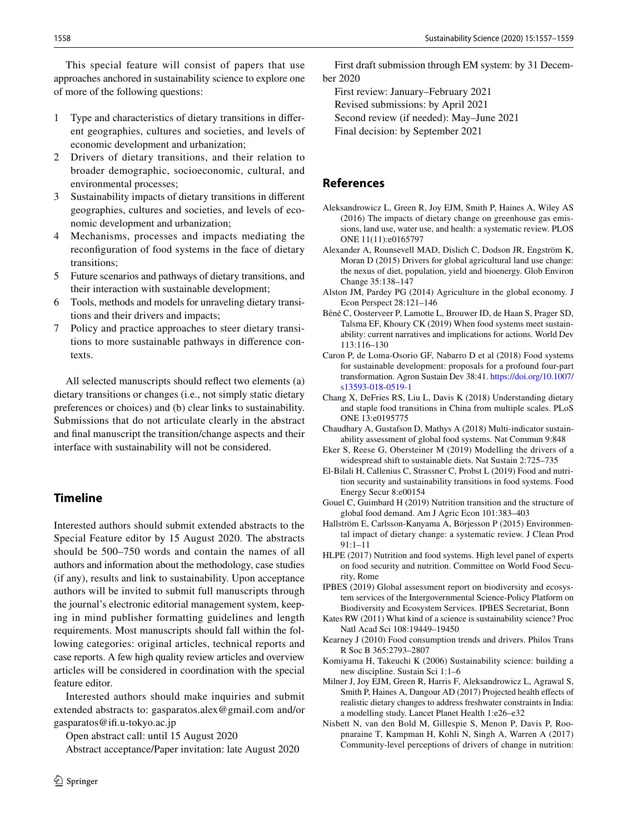This special feature will consist of papers that use approaches anchored in sustainability science to explore one of more of the following questions:

- 1 Type and characteristics of dietary transitions in diferent geographies, cultures and societies, and levels of economic development and urbanization;
- 2 Drivers of dietary transitions, and their relation to broader demographic, socioeconomic, cultural, and environmental processes;
- 3 Sustainability impacts of dietary transitions in diferent geographies, cultures and societies, and levels of economic development and urbanization;
- 4 Mechanisms, processes and impacts mediating the reconfguration of food systems in the face of dietary transitions;
- 5 Future scenarios and pathways of dietary transitions, and their interaction with sustainable development;
- Tools, methods and models for unraveling dietary transitions and their drivers and impacts;
- 7 Policy and practice approaches to steer dietary transitions to more sustainable pathways in diference contexts.

All selected manuscripts should refect two elements (a) dietary transitions or changes (i.e., not simply static dietary preferences or choices) and (b) clear links to sustainability. Submissions that do not articulate clearly in the abstract and fnal manuscript the transition/change aspects and their interface with sustainability will not be considered.

### **Timeline**

Interested authors should submit extended abstracts to the Special Feature editor by 15 August 2020. The abstracts should be 500–750 words and contain the names of all authors and information about the methodology, case studies (if any), results and link to sustainability. Upon acceptance authors will be invited to submit full manuscripts through the journal's electronic editorial management system, keeping in mind publisher formatting guidelines and length requirements. Most manuscripts should fall within the following categories: original articles, technical reports and case reports. A few high quality review articles and overview articles will be considered in coordination with the special feature editor.

Interested authors should make inquiries and submit extended abstracts to: gasparatos.alex@gmail.com and/or gasparatos@if.u-tokyo.ac.jp

Open abstract call: until 15 August 2020

Abstract acceptance/Paper invitation: late August 2020

First draft submission through EM system: by 31 December 2020

First review: January–February 2021

Revised submissions: by April 2021

Second review (if needed): May–June 2021

Final decision: by September 2021

## **References**

- <span id="page-1-11"></span>Aleksandrowicz L, Green R, Joy EJM, Smith P, Haines A, Wiley AS (2016) The impacts of dietary change on greenhouse gas emissions, land use, water use, and health: a systematic review. PLOS ONE 11(11):e0165797
- <span id="page-1-0"></span>Alexander A, Rounsevell MAD, Dislich C, Dodson JR, Engström K, Moran D (2015) Drivers for global agricultural land use change: the nexus of diet, population, yield and bioenergy. Glob Environ Change 35:138–147
- <span id="page-1-2"></span>Alston JM, Pardey PG (2014) Agriculture in the global economy. J Econ Perspect 28:121–146
- <span id="page-1-4"></span>Béné C, Oosterveer P, Lamotte L, Brouwer ID, de Haan S, Prager SD, Talsma EF, Khoury CK (2019) When food systems meet sustainability: current narratives and implications for actions. World Dev 113:116–130
- <span id="page-1-5"></span>Caron P, de Loma-Osorio GF, Nabarro D et al (2018) Food systems for sustainable development: proposals for a profound four-part transformation. Agron Sustain Dev 38:41. [https://doi.org/10.1007/](https://doi.org/10.1007/s13593-018-0519-1) [s13593-018-0519-1](https://doi.org/10.1007/s13593-018-0519-1)
- <span id="page-1-8"></span>Chang X, DeFries RS, Liu L, Davis K (2018) Understanding dietary and staple food transitions in China from multiple scales. PLoS ONE 13:e0195775
- <span id="page-1-6"></span>Chaudhary A, Gustafson D, Mathys A (2018) Multi-indicator sustainability assessment of global food systems. Nat Commun 9:848
- <span id="page-1-14"></span>Eker S, Reese G, Obersteiner M (2019) Modelling the drivers of a widespread shift to sustainable diets. Nat Sustain 2:725–735
- <span id="page-1-15"></span>El-Bilali H, Callenius C, Strassner C, Probst L (2019) Food and nutrition security and sustainability transitions in food systems. Food Energy Secur 8:e00154
- <span id="page-1-7"></span>Gouel C, Guimbard H (2019) Nutrition transition and the structure of global food demand. Am J Agric Econ 101:383–403
- <span id="page-1-13"></span>Hallström E, Carlsson-Kanyama A, Börjesson P (2015) Environmental impact of dietary change: a systematic review. J Clean Prod 91:1–11
- <span id="page-1-3"></span>HLPE (2017) Nutrition and food systems. High level panel of experts on food security and nutrition. Committee on World Food Security, Rome
- <span id="page-1-1"></span>IPBES (2019) Global assessment report on biodiversity and ecosystem services of the Intergovernmental Science-Policy Platform on Biodiversity and Ecosystem Services. IPBES Secretariat, Bonn
- <span id="page-1-16"></span>Kates RW (2011) What kind of a science is sustainability science? Proc Natl Acad Sci 108:19449–19450
- <span id="page-1-10"></span>Kearney J (2010) Food consumption trends and drivers. Philos Trans R Soc B 365:2793–2807
- <span id="page-1-17"></span>Komiyama H, Takeuchi K (2006) Sustainability science: building a new discipline. Sustain Sci 1:1–6
- <span id="page-1-12"></span>Milner J, Joy EJM, Green R, Harris F, Aleksandrowicz L, Agrawal S, Smith P, Haines A, Dangour AD (2017) Projected health effects of realistic dietary changes to address freshwater constraints in India: a modelling study. Lancet Planet Health 1:e26–e32
- <span id="page-1-9"></span>Nisbett N, van den Bold M, Gillespie S, Menon P, Davis P, Roopnaraine T, Kampman H, Kohli N, Singh A, Warren A (2017) Community-level perceptions of drivers of change in nutrition: